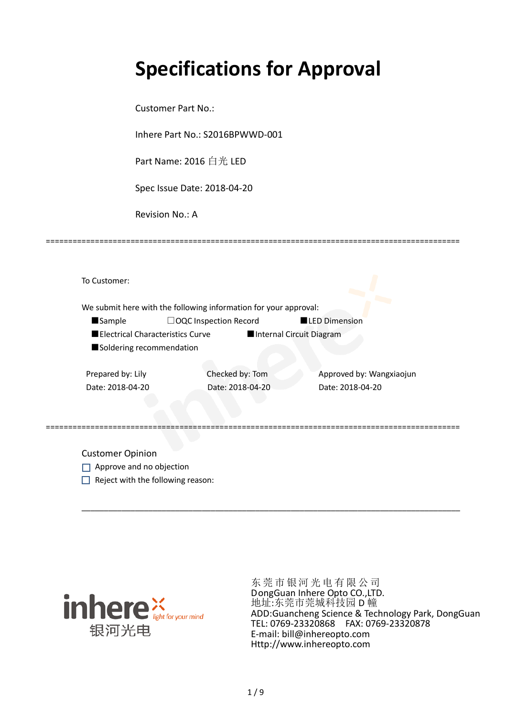# **Specifications for Approval**

Customer Part No.:

Inhere Part No.: S2016BPWWD-001

Part Name: 2016 白光 LED

Spec Issue Date: 2018-04-20

Revision No.: A

|                   |                                  | We submit here with the following information for your approval: |                          |                          |
|-------------------|----------------------------------|------------------------------------------------------------------|--------------------------|--------------------------|
| <b>Sample</b>     |                                  | $\Box$ OQC Inspection Record                                     | <b>LED Dimension</b>     |                          |
|                   | Electrical Characteristics Curve |                                                                  | Internal Circuit Diagram |                          |
|                   | Soldering recommendation         |                                                                  |                          |                          |
|                   |                                  |                                                                  |                          |                          |
| Prepared by: Lily |                                  | Checked by: Tom                                                  |                          | Approved by: Wangxiaojun |
| Date: 2018-04-20  |                                  | Date: 2018-04-20                                                 | Date: 2018-04-20         |                          |
|                   |                                  |                                                                  |                          |                          |

\_\_\_\_\_\_\_\_\_\_\_\_\_\_\_\_\_\_\_\_\_\_\_\_\_\_\_\_\_\_\_\_\_\_\_\_\_\_\_\_\_\_\_\_\_\_\_\_\_\_\_\_\_\_\_\_\_\_\_\_\_\_\_\_\_\_\_\_\_\_\_\_\_\_\_\_\_\_\_\_\_\_\_\_\_

=============================================================================================

Customer Opinion

- Approve and no objection
- $\Box$  Reject with the following reason:



东莞市银河光电有限公司 DongGuan Inhere Opto CO.,LTD. 地址:东莞市莞城科技园 D 幢 ADD:Guancheng Science & Technology Park, DongGuan TEL: 0769-23320868 FAX: 0769-23320878 E-mail: bill@inhereopto.com Http://www.inhereopto.com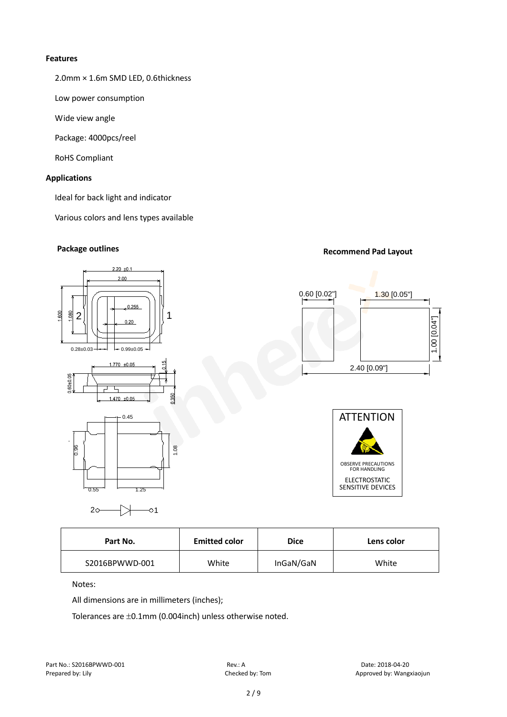#### **Features**

2.0mm × 1.6m SMD LED, 0.6thickness

Low power consumption

Wide view angle

Package: 4000pcs/reel

RoHS Compliant

#### **Applications**

Ideal for back light and indicator

Various colors and lens types available

# **Package outlines Recommend Pad Layout Recommend Pad Layout**

# $2.20 + 0.1$  $2.00$ 0.255 600 ρg  $2$ || | | | | <sub>| 0,20</sub> | | | | 1  $0.28 \pm 0.03 + 1$   $\leftarrow 0.99 \pm 0.05$  $1770 + 0.05$ 0.60+0.05 ⊐ τ  $1.470 + 0.05$  $0.45$







| 0.96<br>1.08<br>0.55<br>l 25<br>$20 -$<br>ୀ |                      |             | <b>OBSERVE PRECAUTIONS</b><br><b>FOR HANDLING</b><br><b>ELECTROSTATIC</b><br><b>SENSITIVE DEVICES</b> |
|---------------------------------------------|----------------------|-------------|-------------------------------------------------------------------------------------------------------|
| Part No.                                    | <b>Emitted color</b> | <b>Dice</b> | Lens color                                                                                            |
| S2016BPWWD-001                              | White                | InGaN/GaN   | White                                                                                                 |
|                                             |                      |             |                                                                                                       |
| Notes:                                      |                      |             |                                                                                                       |
| All dimensions are in millimeters (inches); |                      |             |                                                                                                       |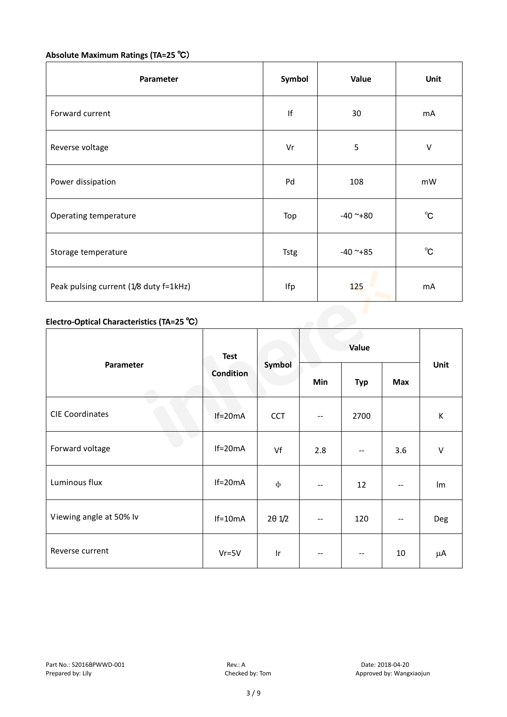## **Absolute Maximum Ratings (TA=25** ℃)

| Parameter                              | Symbol      | Value      | Unit         |  |
|----------------------------------------|-------------|------------|--------------|--|
| Forward current                        | If          | 30         | mA           |  |
| Reverse voltage                        | Vr          | 5          | $\vee$       |  |
| Power dissipation                      | Pd          | 108        | mW           |  |
| Operating temperature                  | Top         | $-40$ ~+80 | $^{\circ}C$  |  |
| Storage temperature                    | <b>Tstg</b> | $-40$ ~+85 | $^{\circ}$ C |  |
| Peak pulsing current (1/8 duty f=1kHz) | Ifp         | 125        | mA           |  |

### **Electro-Optical Characteristics (TA=25** ℃)

|                         | <b>Test</b>      | Symbol          | Value        |            |     |        |
|-------------------------|------------------|-----------------|--------------|------------|-----|--------|
| Parameter               | <b>Condition</b> |                 | Min          | <b>Typ</b> | Max | Unit   |
| <b>CIE Coordinates</b>  | $If=20mA$        | <b>CCT</b>      | $\mathbf{u}$ | 2700       |     | К      |
| Forward voltage         | $If=20mA$        | Vf              | 2.8          |            | 3.6 | $\vee$ |
| Luminous flux           | $If=20mA$        | $\Phi$          | --           | 12         | --  | Im     |
| Viewing angle at 50% lv | $If=10mA$        | $2\theta$ $1/2$ | $- -$        | 120        | $-$ | Deg    |
| Reverse current         | $Vr = 5V$        | $\mathsf{I}$ r  | --           | $- -$      | 10  | μA     |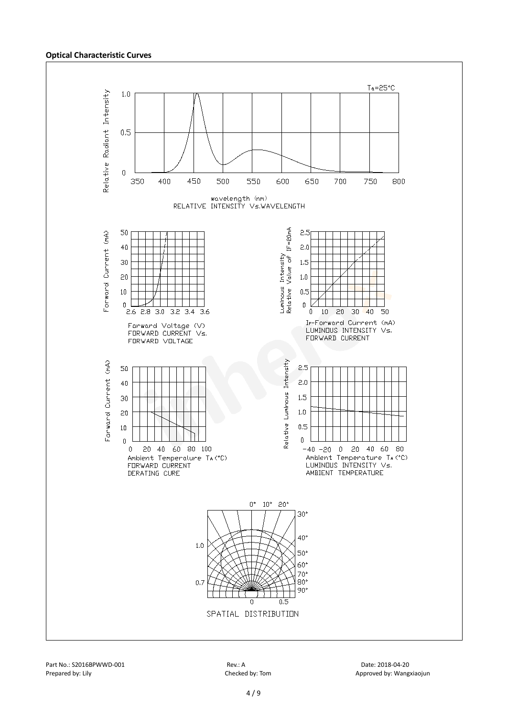#### **Optical Characteristic Curves**

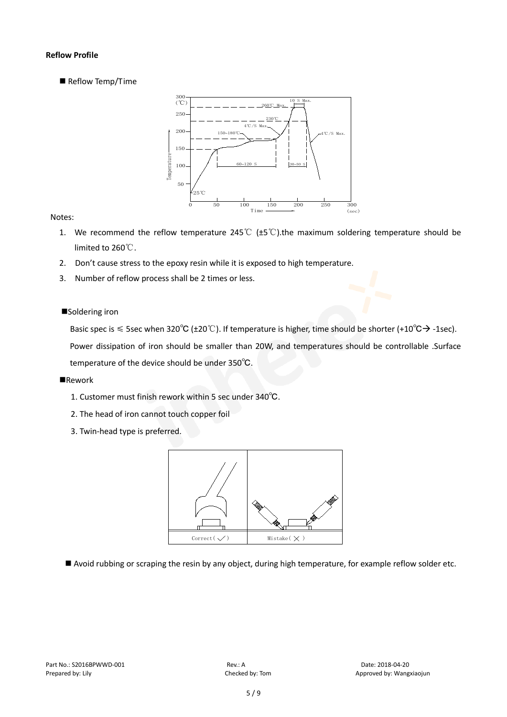#### **Reflow Profile**

Reflow Temp/Time



#### Notes:

- 1. We recommend the reflow temperature 245°C ( $\pm$ 5°C).the maximum soldering temperature should be limited to 260℃.
- 2. Don't cause stress to the epoxy resin while it is exposed to high temperature.
- 3. Number of reflow process shall be 2 times or less.

#### ■Soldering iron

Basic spec is  $\leq$  5sec when 320°C (±20°C). If temperature is higher, time should be shorter (+10°C $\rightarrow$ -1sec).

Power dissipation of iron should be smaller than 20W, and temperatures should be controllable .Surface temperature of the device should be under 350℃.

#### **Rework**

- 1. Customer must finish rework within 5 sec under 340℃.
- 2. The head of iron cannot touch copper foil
- 3. Twin-head type is preferred.



Avoid rubbing or scraping the resin by any object, during high temperature, for example reflow solder etc.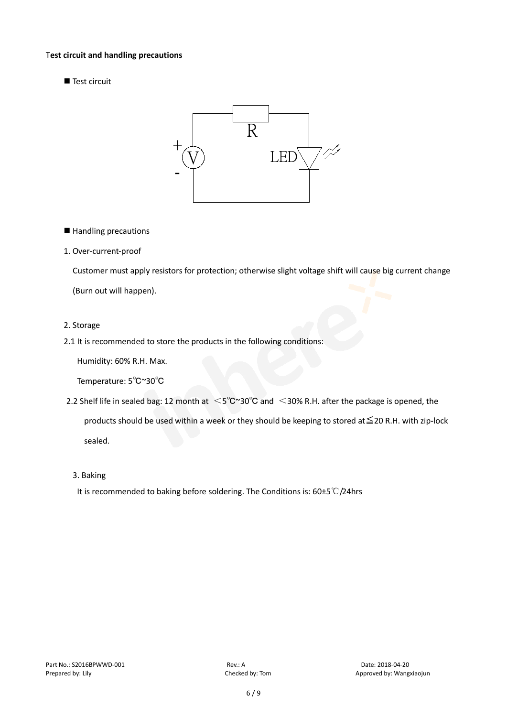#### T**est circuit and handling precautions**

■ Test circuit



■ Handling precautions

#### 1. Over-current-proof

Customer must apply resistors for protection; otherwise slight voltage shift will cause big current change (Burn out will happen).

#### 2. Storage

#### 2.1 It is recommended to store the products in the following conditions:

Humidity: 60% R.H. Max.

Temperature: 5℃~30℃

- 2.2 Shelf life in sealed bag: 12 month at <5℃~30°C and <30% R.H. after the package is opened, the products should be used within a week or they should be keeping to stored at≦20 R.H. with zip-lock sealed.
	- 3. Baking

It is recommended to baking before soldering. The Conditions is: 60±5℃/24hrs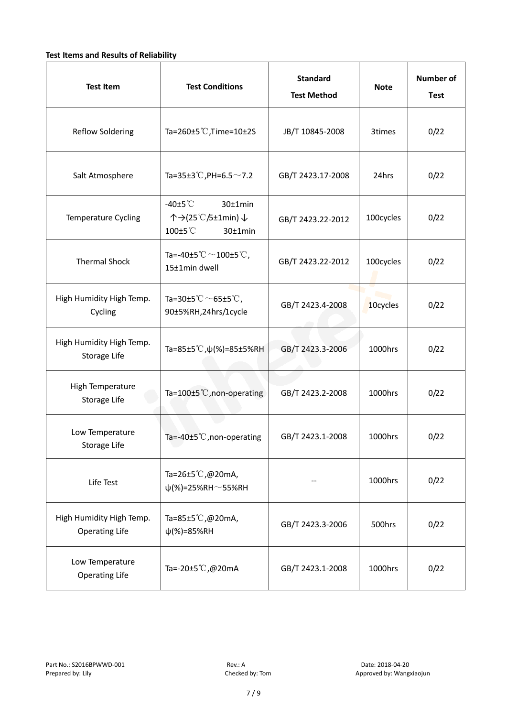#### **Test Items and Results of Reliability**

| <b>Test Item</b>                                  | <b>Test Conditions</b>                                                         | <b>Standard</b><br><b>Test Method</b> | <b>Note</b> | <b>Number of</b><br><b>Test</b> |
|---------------------------------------------------|--------------------------------------------------------------------------------|---------------------------------------|-------------|---------------------------------|
| <b>Reflow Soldering</b>                           | Ta=260±5 °C, Time=10±2S                                                        | JB/T 10845-2008                       | 3times      | 0/22                            |
| Salt Atmosphere                                   | Ta=35±3°C, PH=6.5 $\sim$ 7.2                                                   | GB/T 2423.17-2008                     | 24hrs       | 0/22                            |
| Temperature Cycling                               | -40 $±5^{\circ}$ C<br>$30±1$ min<br>个→(25℃/5±1min) ↓<br>100±5°C<br>$30±1$ min  | GB/T 2423.22-2012                     | 100cycles   | 0/22                            |
| <b>Thermal Shock</b>                              | Ta=-40±5 $\degree \text{C}$ $\sim$ 100±5 $\degree \text{C}$ ,<br>15±1min dwell | GB/T 2423.22-2012                     | 100cycles   | 0/22                            |
| High Humidity High Temp.<br>Cycling               | Ta=30±5 °C $\sim$ 65±5 °C,<br>90±5%RH,24hrs/1cycle                             | GB/T 2423.4-2008                      | 10cycles    | 0/22                            |
| High Humidity High Temp.<br>Storage Life          | Ta=85±5 °C, $\psi$ (%)=85±5%RH                                                 | GB/T 2423.3-2006                      | 1000hrs     | 0/22                            |
| High Temperature<br><b>Storage Life</b>           | Ta=100±5°C, non-operating                                                      | GB/T 2423.2-2008                      | 1000hrs     | 0/22                            |
| Low Temperature<br>Storage Life                   | Ta=-40±5 $°C$ , non-operating                                                  | GB/T 2423.1-2008                      | 1000hrs     | 0/22                            |
| Life Test                                         | Ta=26±5 °C,@20mA,<br>$\psi$ (%)=25%RH~55%RH                                    |                                       | 1000hrs     | 0/22                            |
| High Humidity High Temp.<br><b>Operating Life</b> | Ta=85±5 $\degree$ C, @20mA,<br>$\psi$ (%)=85%RH                                | GB/T 2423.3-2006                      | 500hrs      | 0/22                            |
| Low Temperature<br><b>Operating Life</b>          | Ta=-20±5 °C,@20mA                                                              | GB/T 2423.1-2008                      | 1000hrs     | 0/22                            |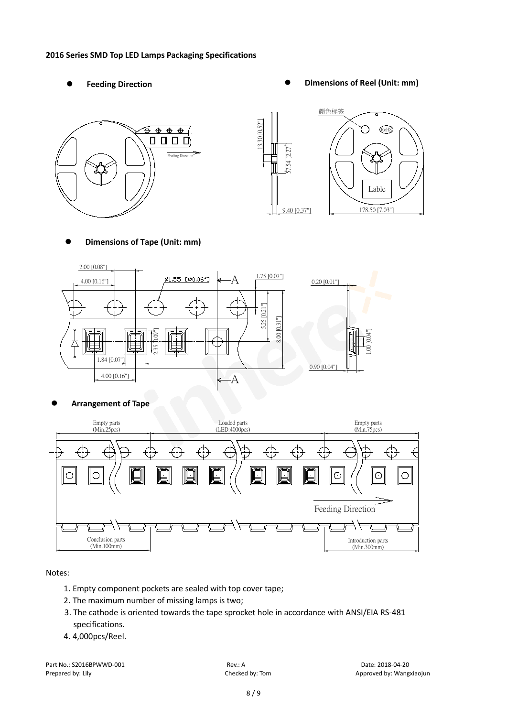#### **2016 Series SMD Top LED Lamps Packaging Specifications**

- 
- Feeding Direction **Constanting Construction Constanting Operations Construction Constanting Construction Constanting Construction**





**Dimensions of Tape (Unit: mm)**



**Arrangement of Tape**



#### Notes:

- 1. Empty component pockets are sealed with top cover tape;
- 2. The maximum number of missing lamps is two;
- 3. The cathode is oriented towards the tape sprocket hole in accordance with ANSI/EIA RS-481 specifications.
- 4. 4,000pcs/Reel.